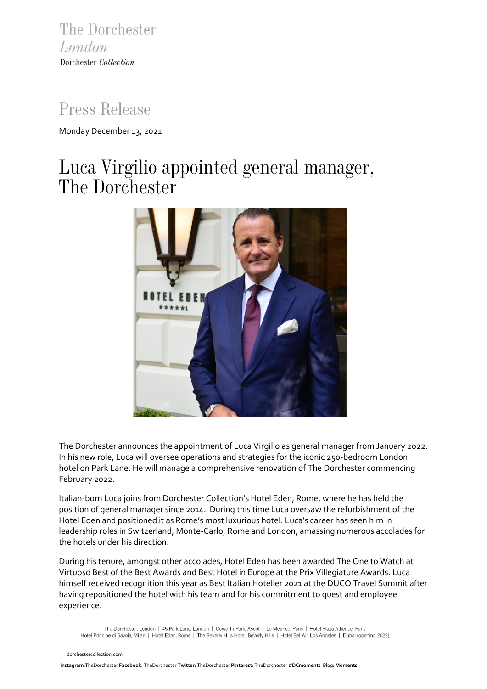The Dorchester London Dorchester Collection

## *Press Release*

Monday December 13, 2021

# *Luca Virgilio appointed general manager, The Dorchester*



The Dorchester announces the appointment of Luca Virgilio as general manager from January 2022. In his new role, Luca will oversee operations and strategies for the iconic 250-bedroom London hotel on Park Lane. He will manage a comprehensive renovation of The Dorchester commencing February 2022.

Italian-born Luca joins from Dorchester Collection's Hotel Eden, Rome, where he has held the position of general manager since 2014. During this time Luca oversaw the refurbishment of the Hotel Eden and positioned it as Rome's most luxurious hotel. Luca's career has seen him in leadership roles in Switzerland, Monte-Carlo, Rome and London, amassing numerous accolades for the hotels under his direction.

During his tenure, amongst other accolades, Hotel Eden has been awarded The One to Watch at Virtuoso Best of the Best Awards and Best Hotel in Europe at the Prix Villégiature Awards. Luca himself received recognition this year as Best Italian Hotelier 2021 at the DUCO Travel Summit after having repositioned the hotel with his team and for his commitment to guest and employee experience.

The Dorchester, London | 45 Park Lane, London | Coworth Park, Ascot | Le Meurice, Paris | Hôtel Plaza Athénée, Paris Hotel Principe di Savoia, Milan | Hotel Eden, Rome | The Beverly Hills Hotel, Beverly Hills | Hotel Bel-Air, Los Angeles | Dubai (opening 2022)

 [dorchestercollection.com](https://www.instagram.com/thedorchester/)